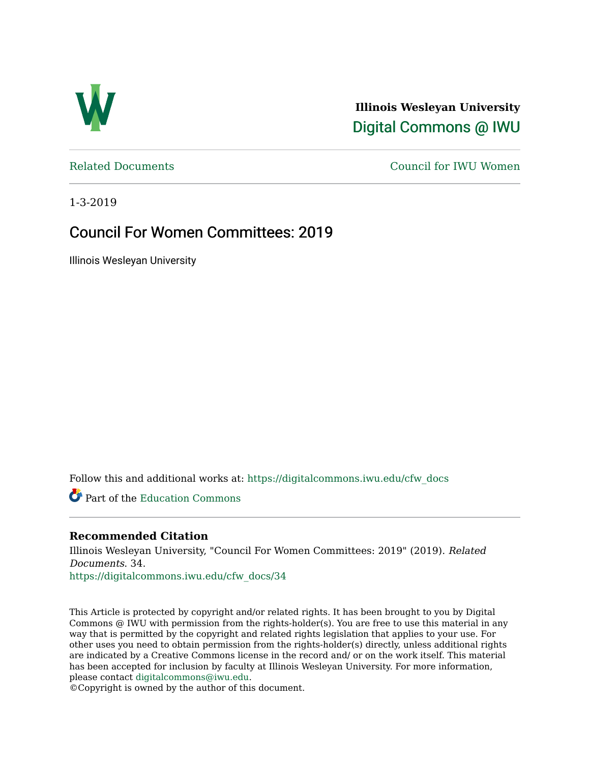

**Illinois Wesleyan University**  [Digital Commons @ IWU](https://digitalcommons.iwu.edu/) 

[Related Documents](https://digitalcommons.iwu.edu/cfw_docs) [Council for IWU Women](https://digitalcommons.iwu.edu/alumni_cfw) 

1-3-2019

## Council For Women Committees: 2019

Illinois Wesleyan University

Follow this and additional works at: [https://digitalcommons.iwu.edu/cfw\\_docs](https://digitalcommons.iwu.edu/cfw_docs?utm_source=digitalcommons.iwu.edu%2Fcfw_docs%2F34&utm_medium=PDF&utm_campaign=PDFCoverPages) 

Part of the [Education Commons](http://network.bepress.com/hgg/discipline/784?utm_source=digitalcommons.iwu.edu%2Fcfw_docs%2F34&utm_medium=PDF&utm_campaign=PDFCoverPages)

## **Recommended Citation**

Illinois Wesleyan University, "Council For Women Committees: 2019" (2019). Related Documents. 34.

[https://digitalcommons.iwu.edu/cfw\\_docs/34](https://digitalcommons.iwu.edu/cfw_docs/34?utm_source=digitalcommons.iwu.edu%2Fcfw_docs%2F34&utm_medium=PDF&utm_campaign=PDFCoverPages)

This Article is protected by copyright and/or related rights. It has been brought to you by Digital Commons @ IWU with permission from the rights-holder(s). You are free to use this material in any way that is permitted by the copyright and related rights legislation that applies to your use. For other uses you need to obtain permission from the rights-holder(s) directly, unless additional rights are indicated by a Creative Commons license in the record and/ or on the work itself. This material has been accepted for inclusion by faculty at Illinois Wesleyan University. For more information, please contact [digitalcommons@iwu.edu.](mailto:digitalcommons@iwu.edu)

©Copyright is owned by the author of this document.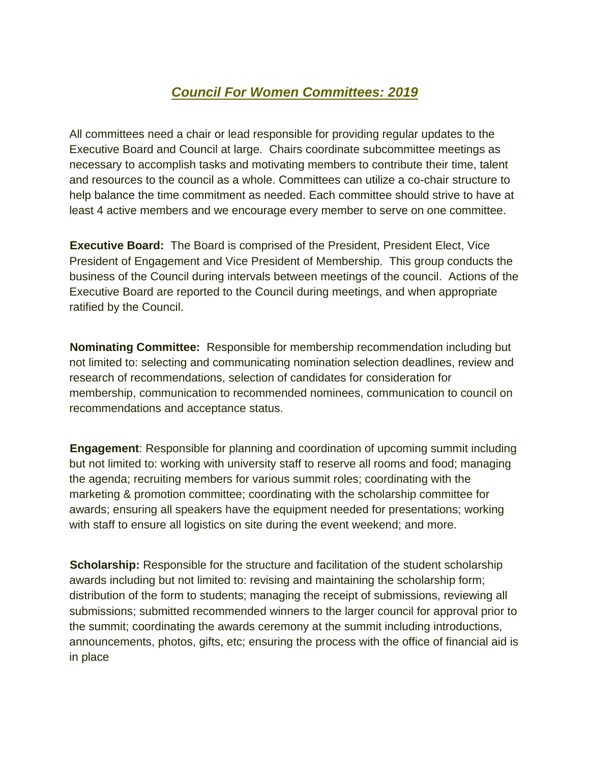## *Council For Women Committees: 2019*

All committees need a chair or lead responsible for providing regular updates to the Executive Board and Council at large. Chairs coordinate subcommittee meetings as necessary to accomplish tasks and motivating members to contribute their time, talent and resources to the council as a whole. Committees can utilize a co-chair structure to help balance the time commitment as needed. Each committee should strive to have at least 4 active members and we encourage every member to serve on one committee.

**Executive Board:** The Board is comprised of the President, President Elect, Vice President of Engagement and Vice President of Membership. This group conducts the business of the Council during intervals between meetings of the council. Actions of the Executive Board are reported to the Council during meetings, and when appropriate ratified by the Council.

**Nominating Committee:** Responsible for membership recommendation including but not limited to: selecting and communicating nomination selection deadlines, review and research of recommendations, selection of candidates for consideration for membership, communication to recommended nominees, communication to council on recommendations and acceptance status.

**Engagement**: Responsible for planning and coordination of upcoming summit including but not limited to: working with university staff to reserve all rooms and food; managing the agenda; recruiting members for various summit roles; coordinating with the marketing & promotion committee; coordinating with the scholarship committee for awards; ensuring all speakers have the equipment needed for presentations; working with staff to ensure all logistics on site during the event weekend; and more.

**Scholarship:** Responsible for the structure and facilitation of the student scholarship awards including but not limited to: revising and maintaining the scholarship form; distribution of the form to students; managing the receipt of submissions, reviewing all submissions; submitted recommended winners to the larger council for approval prior to the summit; coordinating the awards ceremony at the summit including introductions, announcements, photos, gifts, etc; ensuring the process with the office of financial aid is in place